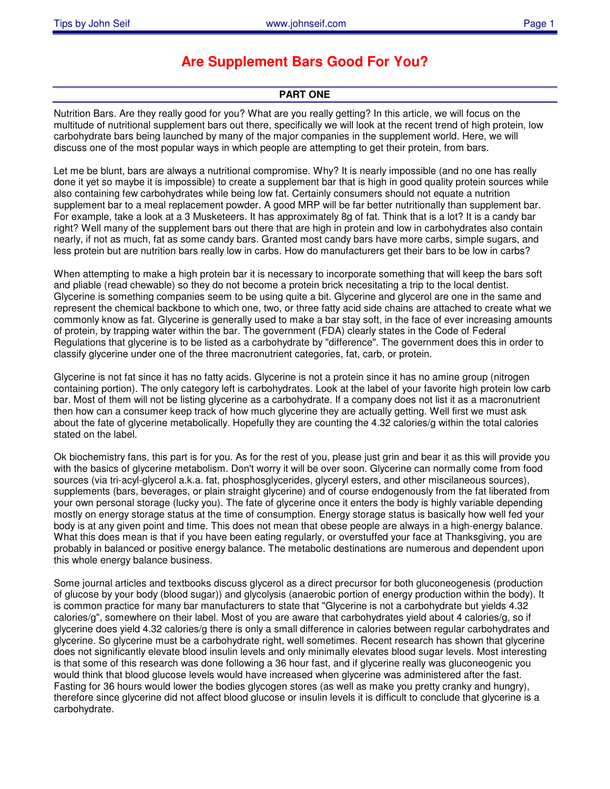## **Are Supplement Bars Good For You?**

## **PART ONE**

Nutrition Bars. Are they really good for you? What are you really getting? In this article, we will focus on the multitude of nutritional supplement bars out there, specifically we will look at the recent trend of high protein, low carbohydrate bars being launched by many of the major companies in the supplement world. Here, we will discuss one of the most popular ways in which people are attempting to get their protein, from bars.

Let me be blunt, bars are always a nutritional compromise. Why? It is nearly impossible (and no one has really done it yet so maybe it is impossible) to create a supplement bar that is high in good quality protein sources while also containing few carbohydrates while being low fat. Certainly consumers should not equate a nutrition supplement bar to a meal replacement powder. A good MRP will be far better nutritionally than supplement bar. For example, take a look at a 3 Musketeers. It has approximately 8g of fat. Think that is a lot? It is a candy bar right? Well many of the supplement bars out there that are high in protein and low in carbohydrates also contain nearly, if not as much, fat as some candy bars. Granted most candy bars have more carbs, simple sugars, and less protein but are nutrition bars really low in carbs. How do manufacturers get their bars to be low in carbs?

When attempting to make a high protein bar it is necessary to incorporate something that will keep the bars soft and pliable (read chewable) so they do not become a protein brick necesitating a trip to the local dentist. Glycerine is something companies seem to be using quite a bit. Glycerine and glycerol are one in the same and represent the chemical backbone to which one, two, or three fatty acid side chains are attached to create what we commonly know as fat. Glycerine is generally used to make a bar stay soft, in the face of ever increasing amounts of protein, by trapping water within the bar. The government (FDA) clearly states in the Code of Federal Regulations that glycerine is to be listed as a carbohydrate by "difference". The government does this in order to classify glycerine under one of the three macronutrient categories, fat, carb, or protein.

Glycerine is not fat since it has no fatty acids. Glycerine is not a protein since it has no amine group (nitrogen containing portion). The only category left is carbohydrates. Look at the label of your favorite high protein low carb bar. Most of them will not be listing glycerine as a carbohydrate. If a company does not list it as a macronutrient then how can a consumer keep track of how much glycerine they are actually getting. Well first we must ask about the fate of glycerine metabolically. Hopefully they are counting the 4.32 calories/g within the total calories stated on the label.

Ok biochemistry fans, this part is for you. As for the rest of you, please just grin and bear it as this will provide you with the basics of glycerine metabolism. Don't worry it will be over soon. Glycerine can normally come from food sources (via tri-acyl-glycerol a.k.a. fat, phosphosglycerides, glyceryl esters, and other miscilaneous sources), supplements (bars, beverages, or plain straight glycerine) and of course endogenously from the fat liberated from your own personal storage (lucky you). The fate of glycerine once it enters the body is highly variable depending mostly on energy storage status at the time of consumption. Energy storage status is basically how well fed your body is at any given point and time. This does not mean that obese people are always in a high-energy balance. What this does mean is that if you have been eating regularly, or overstuffed your face at Thanksgiving, you are probably in balanced or positive energy balance. The metabolic destinations are numerous and dependent upon this whole energy balance business.

Some journal articles and textbooks discuss glycerol as a direct precursor for both gluconeogenesis (production of glucose by your body (blood sugar)) and glycolysis (anaerobic portion of energy production within the body). It is common practice for many bar manufacturers to state that "Glycerine is not a carbohydrate but yields 4.32 calories/g", somewhere on their label. Most of you are aware that carbohydrates yield about 4 calories/g, so if glycerine does yield 4.32 calories/g there is only a small difference in calories between regular carbohydrates and glycerine. So glycerine must be a carbohydrate right, well sometimes. Recent research has shown that glycerine does not significantly elevate blood insulin levels and only minimally elevates blood sugar levels. Most interesting is that some of this research was done following a 36 hour fast, and if glycerine really was gluconeogenic you would think that blood glucose levels would have increased when glycerine was administered after the fast. Fasting for 36 hours would lower the bodies glycogen stores (as well as make you pretty cranky and hungry), therefore since glycerine did not affect blood glucose or insulin levels it is difficult to conclude that glycerine is a carbohydrate.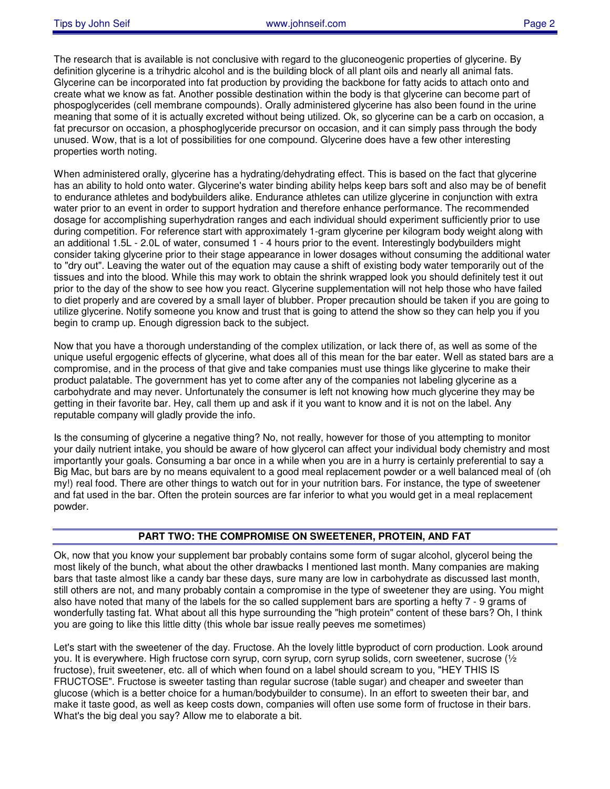The research that is available is not conclusive with regard to the gluconeogenic properties of glycerine. By definition glycerine is a trihydric alcohol and is the building block of all plant oils and nearly all animal fats. Glycerine can be incorporated into fat production by providing the backbone for fatty acids to attach onto and create what we know as fat. Another possible destination within the body is that glycerine can become part of phospoglycerides (cell membrane compounds). Orally administered glycerine has also been found in the urine meaning that some of it is actually excreted without being utilized. Ok, so glycerine can be a carb on occasion, a fat precursor on occasion, a phosphoglyceride precursor on occasion, and it can simply pass through the body unused. Wow, that is a lot of possibilities for one compound. Glycerine does have a few other interesting properties worth noting.

When administered orally, glycerine has a hydrating/dehydrating effect. This is based on the fact that glycerine has an ability to hold onto water. Glycerine's water binding ability helps keep bars soft and also may be of benefit to endurance athletes and bodybuilders alike. Endurance athletes can utilize glycerine in conjunction with extra water prior to an event in order to support hydration and therefore enhance performance. The recommended dosage for accomplishing superhydration ranges and each individual should experiment sufficiently prior to use during competition. For reference start with approximately 1-gram glycerine per kilogram body weight along with an additional 1.5L - 2.0L of water, consumed 1 - 4 hours prior to the event. Interestingly bodybuilders might consider taking glycerine prior to their stage appearance in lower dosages without consuming the additional water to "dry out". Leaving the water out of the equation may cause a shift of existing body water temporarily out of the tissues and into the blood. While this may work to obtain the shrink wrapped look you should definitely test it out prior to the day of the show to see how you react. Glycerine supplementation will not help those who have failed to diet properly and are covered by a small layer of blubber. Proper precaution should be taken if you are going to utilize glycerine. Notify someone you know and trust that is going to attend the show so they can help you if you begin to cramp up. Enough digression back to the subject.

Now that you have a thorough understanding of the complex utilization, or lack there of, as well as some of the unique useful ergogenic effects of glycerine, what does all of this mean for the bar eater. Well as stated bars are a compromise, and in the process of that give and take companies must use things like glycerine to make their product palatable. The government has yet to come after any of the companies not labeling glycerine as a carbohydrate and may never. Unfortunately the consumer is left not knowing how much glycerine they may be getting in their favorite bar. Hey, call them up and ask if it you want to know and it is not on the label. Any reputable company will gladly provide the info.

Is the consuming of glycerine a negative thing? No, not really, however for those of you attempting to monitor your daily nutrient intake, you should be aware of how glycerol can affect your individual body chemistry and most importantly your goals. Consuming a bar once in a while when you are in a hurry is certainly preferential to say a Big Mac, but bars are by no means equivalent to a good meal replacement powder or a well balanced meal of (oh my!) real food. There are other things to watch out for in your nutrition bars. For instance, the type of sweetener and fat used in the bar. Often the protein sources are far inferior to what you would get in a meal replacement powder.

## **PART TWO: THE COMPROMISE ON SWEETENER, PROTEIN, AND FAT**

Ok, now that you know your supplement bar probably contains some form of sugar alcohol, glycerol being the most likely of the bunch, what about the other drawbacks I mentioned last month. Many companies are making bars that taste almost like a candy bar these days, sure many are low in carbohydrate as discussed last month, still others are not, and many probably contain a compromise in the type of sweetener they are using. You might also have noted that many of the labels for the so called supplement bars are sporting a hefty 7 - 9 grams of wonderfully tasting fat. What about all this hype surrounding the "high protein" content of these bars? Oh, I think you are going to like this little ditty (this whole bar issue really peeves me sometimes)

Let's start with the sweetener of the day. Fructose. Ah the lovely little byproduct of corn production. Look around you. It is everywhere. High fructose corn syrup, corn syrup, corn syrup solids, corn sweetener, sucrose (½ fructose), fruit sweetener, etc. all of which when found on a label should scream to you, "HEY THIS IS FRUCTOSE". Fructose is sweeter tasting than regular sucrose (table sugar) and cheaper and sweeter than glucose (which is a better choice for a human/bodybuilder to consume). In an effort to sweeten their bar, and make it taste good, as well as keep costs down, companies will often use some form of fructose in their bars. What's the big deal you say? Allow me to elaborate a bit.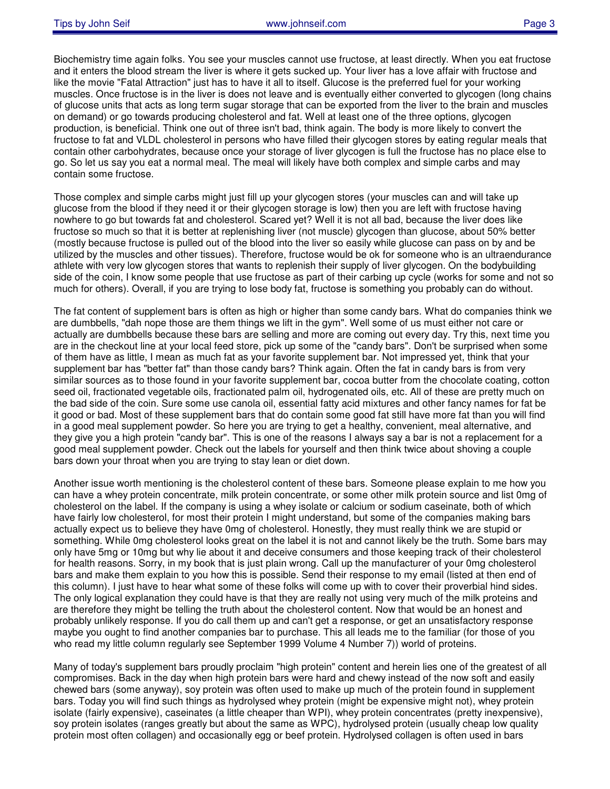Biochemistry time again folks. You see your muscles cannot use fructose, at least directly. When you eat fructose and it enters the blood stream the liver is where it gets sucked up. Your liver has a love affair with fructose and like the movie "Fatal Attraction" just has to have it all to itself. Glucose is the preferred fuel for your working muscles. Once fructose is in the liver is does not leave and is eventually either converted to glycogen (long chains of glucose units that acts as long term sugar storage that can be exported from the liver to the brain and muscles on demand) or go towards producing cholesterol and fat. Well at least one of the three options, glycogen production, is beneficial. Think one out of three isn't bad, think again. The body is more likely to convert the fructose to fat and VLDL cholesterol in persons who have filled their glycogen stores by eating regular meals that contain other carbohydrates, because once your storage of liver glycogen is full the fructose has no place else to go. So let us say you eat a normal meal. The meal will likely have both complex and simple carbs and may contain some fructose.

Those complex and simple carbs might just fill up your glycogen stores (your muscles can and will take up glucose from the blood if they need it or their glycogen storage is low) then you are left with fructose having nowhere to go but towards fat and cholesterol. Scared yet? Well it is not all bad, because the liver does like fructose so much so that it is better at replenishing liver (not muscle) glycogen than glucose, about 50% better (mostly because fructose is pulled out of the blood into the liver so easily while glucose can pass on by and be utilized by the muscles and other tissues). Therefore, fructose would be ok for someone who is an ultraendurance athlete with very low glycogen stores that wants to replenish their supply of liver glycogen. On the bodybuilding side of the coin, I know some people that use fructose as part of their carbing up cycle (works for some and not so much for others). Overall, if you are trying to lose body fat, fructose is something you probably can do without.

The fat content of supplement bars is often as high or higher than some candy bars. What do companies think we are dumbbells, "dah nope those are them things we lift in the gym". Well some of us must either not care or actually are dumbbells because these bars are selling and more are coming out every day. Try this, next time you are in the checkout line at your local feed store, pick up some of the "candy bars". Don't be surprised when some of them have as little, I mean as much fat as your favorite supplement bar. Not impressed yet, think that your supplement bar has "better fat" than those candy bars? Think again. Often the fat in candy bars is from very similar sources as to those found in your favorite supplement bar, cocoa butter from the chocolate coating, cotton seed oil, fractionated vegetable oils, fractionated palm oil, hydrogenated oils, etc. All of these are pretty much on the bad side of the coin. Sure some use canola oil, essential fatty acid mixtures and other fancy names for fat be it good or bad. Most of these supplement bars that do contain some good fat still have more fat than you will find in a good meal supplement powder. So here you are trying to get a healthy, convenient, meal alternative, and they give you a high protein "candy bar". This is one of the reasons I always say a bar is not a replacement for a good meal supplement powder. Check out the labels for yourself and then think twice about shoving a couple bars down your throat when you are trying to stay lean or diet down.

Another issue worth mentioning is the cholesterol content of these bars. Someone please explain to me how you can have a whey protein concentrate, milk protein concentrate, or some other milk protein source and list 0mg of cholesterol on the label. If the company is using a whey isolate or calcium or sodium caseinate, both of which have fairly low cholesterol, for most their protein I might understand, but some of the companies making bars actually expect us to believe they have 0mg of cholesterol. Honestly, they must really think we are stupid or something. While 0mg cholesterol looks great on the label it is not and cannot likely be the truth. Some bars may only have 5mg or 10mg but why lie about it and deceive consumers and those keeping track of their cholesterol for health reasons. Sorry, in my book that is just plain wrong. Call up the manufacturer of your 0mg cholesterol bars and make them explain to you how this is possible. Send their response to my email (listed at then end of this column). I just have to hear what some of these folks will come up with to cover their proverbial hind sides. The only logical explanation they could have is that they are really not using very much of the milk proteins and are therefore they might be telling the truth about the cholesterol content. Now that would be an honest and probably unlikely response. If you do call them up and can't get a response, or get an unsatisfactory response maybe you ought to find another companies bar to purchase. This all leads me to the familiar (for those of you who read my little column regularly see September 1999 Volume 4 Number 7)) world of proteins.

Many of today's supplement bars proudly proclaim "high protein" content and herein lies one of the greatest of all compromises. Back in the day when high protein bars were hard and chewy instead of the now soft and easily chewed bars (some anyway), soy protein was often used to make up much of the protein found in supplement bars. Today you will find such things as hydrolysed whey protein (might be expensive might not), whey protein isolate (fairly expensive), caseinates (a little cheaper than WPI), whey protein concentrates (pretty inexpensive), soy protein isolates (ranges greatly but about the same as WPC), hydrolysed protein (usually cheap low quality protein most often collagen) and occasionally egg or beef protein. Hydrolysed collagen is often used in bars